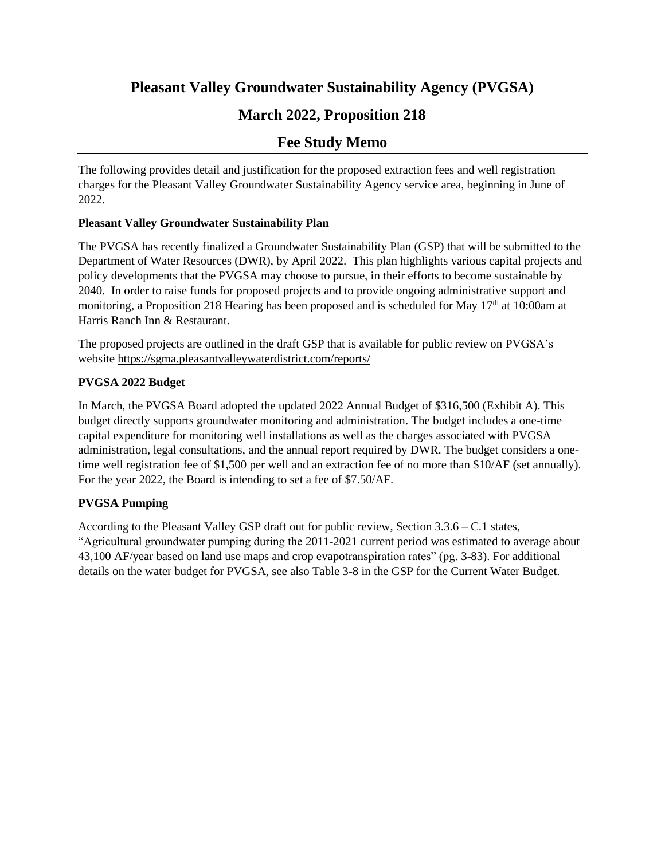# **Pleasant Valley Groundwater Sustainability Agency (PVGSA)**

# **March 2022, Proposition 218**

# **Fee Study Memo**

The following provides detail and justification for the proposed extraction fees and well registration charges for the Pleasant Valley Groundwater Sustainability Agency service area, beginning in June of 2022.

#### **Pleasant Valley Groundwater Sustainability Plan**

The PVGSA has recently finalized a Groundwater Sustainability Plan (GSP) that will be submitted to the Department of Water Resources (DWR), by April 2022. This plan highlights various capital projects and policy developments that the PVGSA may choose to pursue, in their efforts to become sustainable by 2040. In order to raise funds for proposed projects and to provide ongoing administrative support and monitoring, a Proposition 218 Hearing has been proposed and is scheduled for May 17<sup>th</sup> at 10:00am at Harris Ranch Inn & Restaurant.

The proposed projects are outlined in the draft GSP that is available for public review on PVGSA's website https://sgma.pleasantvalleywaterdistrict.com/reports/

## **PVGSA 2022 Budget**

In March, the PVGSA Board adopted the updated 2022 Annual Budget of \$316,500 (Exhibit A). This budget directly supports groundwater monitoring and administration. The budget includes a one-time capital expenditure for monitoring well installations as well as the charges associated with PVGSA administration, legal consultations, and the annual report required by DWR. The budget considers a onetime well registration fee of \$1,500 per well and an extraction fee of no more than \$10/AF (set annually). For the year 2022, the Board is intending to set a fee of \$7.50/AF.

## **PVGSA Pumping**

According to the Pleasant Valley GSP draft out for public review, Section 3.3.6 – C.1 states, "Agricultural groundwater pumping during the 2011-2021 current period was estimated to average about 43,100 AF/year based on land use maps and crop evapotranspiration rates" (pg. 3-83). For additional details on the water budget for PVGSA, see also Table 3-8 in the GSP for the Current Water Budget.